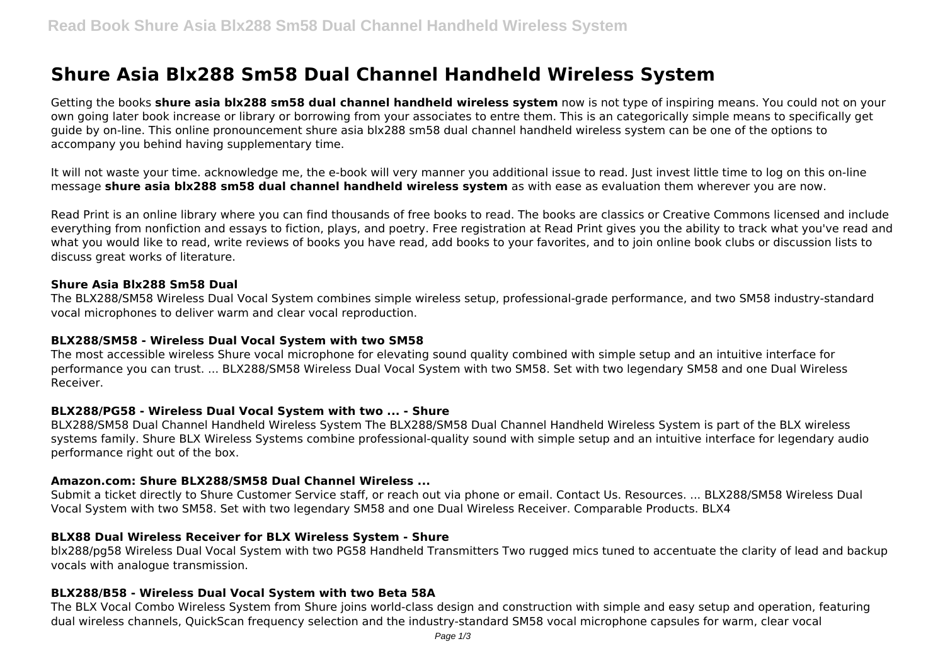# **Shure Asia Blx288 Sm58 Dual Channel Handheld Wireless System**

Getting the books **shure asia blx288 sm58 dual channel handheld wireless system** now is not type of inspiring means. You could not on your own going later book increase or library or borrowing from your associates to entre them. This is an categorically simple means to specifically get guide by on-line. This online pronouncement shure asia blx288 sm58 dual channel handheld wireless system can be one of the options to accompany you behind having supplementary time.

It will not waste your time. acknowledge me, the e-book will very manner you additional issue to read. Just invest little time to log on this on-line message **shure asia blx288 sm58 dual channel handheld wireless system** as with ease as evaluation them wherever you are now.

Read Print is an online library where you can find thousands of free books to read. The books are classics or Creative Commons licensed and include everything from nonfiction and essays to fiction, plays, and poetry. Free registration at Read Print gives you the ability to track what you've read and what you would like to read, write reviews of books you have read, add books to your favorites, and to join online book clubs or discussion lists to discuss great works of literature.

#### **Shure Asia Blx288 Sm58 Dual**

The BLX288/SM58 Wireless Dual Vocal System combines simple wireless setup, professional-grade performance, and two SM58 industry-standard vocal microphones to deliver warm and clear vocal reproduction.

#### **BLX288/SM58 - Wireless Dual Vocal System with two SM58**

The most accessible wireless Shure vocal microphone for elevating sound quality combined with simple setup and an intuitive interface for performance you can trust. ... BLX288/SM58 Wireless Dual Vocal System with two SM58. Set with two legendary SM58 and one Dual Wireless Receiver.

#### **BLX288/PG58 - Wireless Dual Vocal System with two ... - Shure**

BLX288/SM58 Dual Channel Handheld Wireless System The BLX288/SM58 Dual Channel Handheld Wireless System is part of the BLX wireless systems family. Shure BLX Wireless Systems combine professional-quality sound with simple setup and an intuitive interface for legendary audio performance right out of the box.

#### **Amazon.com: Shure BLX288/SM58 Dual Channel Wireless ...**

Submit a ticket directly to Shure Customer Service staff, or reach out via phone or email. Contact Us. Resources. ... BLX288/SM58 Wireless Dual Vocal System with two SM58. Set with two legendary SM58 and one Dual Wireless Receiver. Comparable Products. BLX4

#### **BLX88 Dual Wireless Receiver for BLX Wireless System - Shure**

blx288/pg58 Wireless Dual Vocal System with two PG58 Handheld Transmitters Two rugged mics tuned to accentuate the clarity of lead and backup vocals with analogue transmission.

#### **BLX288/B58 - Wireless Dual Vocal System with two Beta 58A**

The BLX Vocal Combo Wireless System from Shure joins world-class design and construction with simple and easy setup and operation, featuring dual wireless channels, QuickScan frequency selection and the industry-standard SM58 vocal microphone capsules for warm, clear vocal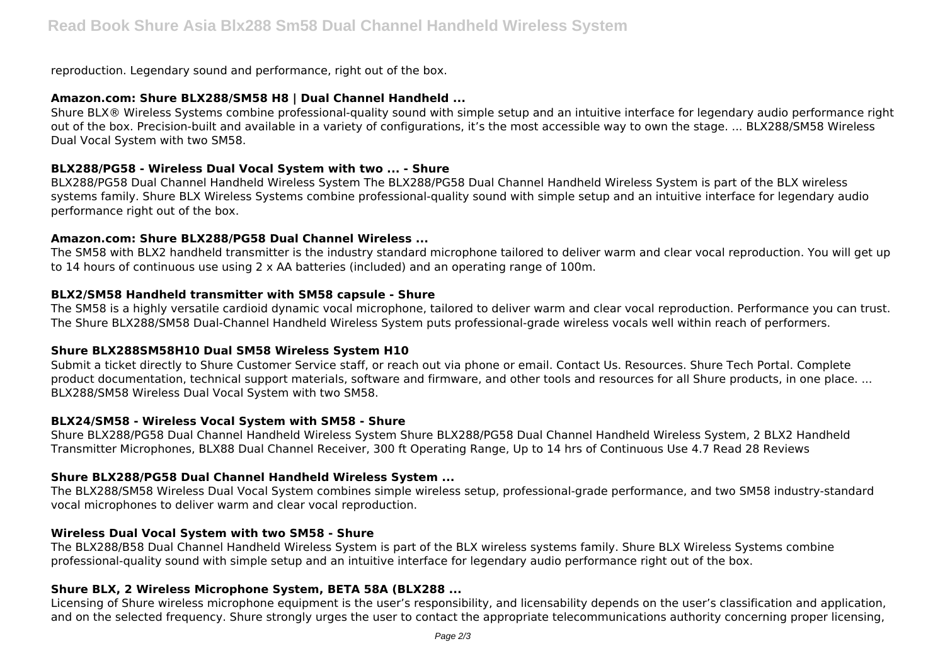reproduction. Legendary sound and performance, right out of the box.

## **Amazon.com: Shure BLX288/SM58 H8 | Dual Channel Handheld ...**

Shure BLX® Wireless Systems combine professional-quality sound with simple setup and an intuitive interface for legendary audio performance right out of the box. Precision-built and available in a variety of configurations, it's the most accessible way to own the stage. ... BLX288/SM58 Wireless Dual Vocal System with two SM58.

## **BLX288/PG58 - Wireless Dual Vocal System with two ... - Shure**

BLX288/PG58 Dual Channel Handheld Wireless System The BLX288/PG58 Dual Channel Handheld Wireless System is part of the BLX wireless systems family. Shure BLX Wireless Systems combine professional-quality sound with simple setup and an intuitive interface for legendary audio performance right out of the box.

## **Amazon.com: Shure BLX288/PG58 Dual Channel Wireless ...**

The SM58 with BLX2 handheld transmitter is the industry standard microphone tailored to deliver warm and clear vocal reproduction. You will get up to 14 hours of continuous use using 2 x AA batteries (included) and an operating range of 100m.

## **BLX2/SM58 Handheld transmitter with SM58 capsule - Shure**

The SM58 is a highly versatile cardioid dynamic vocal microphone, tailored to deliver warm and clear vocal reproduction. Performance you can trust. The Shure BLX288/SM58 Dual-Channel Handheld Wireless System puts professional-grade wireless vocals well within reach of performers.

# **Shure BLX288SM58H10 Dual SM58 Wireless System H10**

Submit a ticket directly to Shure Customer Service staff, or reach out via phone or email. Contact Us. Resources. Shure Tech Portal. Complete product documentation, technical support materials, software and firmware, and other tools and resources for all Shure products, in one place. ... BLX288/SM58 Wireless Dual Vocal System with two SM58.

# **BLX24/SM58 - Wireless Vocal System with SM58 - Shure**

Shure BLX288/PG58 Dual Channel Handheld Wireless System Shure BLX288/PG58 Dual Channel Handheld Wireless System, 2 BLX2 Handheld Transmitter Microphones, BLX88 Dual Channel Receiver, 300 ft Operating Range, Up to 14 hrs of Continuous Use 4.7 Read 28 Reviews

# **Shure BLX288/PG58 Dual Channel Handheld Wireless System ...**

The BLX288/SM58 Wireless Dual Vocal System combines simple wireless setup, professional-grade performance, and two SM58 industry-standard vocal microphones to deliver warm and clear vocal reproduction.

# **Wireless Dual Vocal System with two SM58 - Shure**

The BLX288/B58 Dual Channel Handheld Wireless System is part of the BLX wireless systems family. Shure BLX Wireless Systems combine professional-quality sound with simple setup and an intuitive interface for legendary audio performance right out of the box.

# **Shure BLX, 2 Wireless Microphone System, BETA 58A (BLX288 ...**

Licensing of Shure wireless microphone equipment is the user's responsibility, and licensability depends on the user's classification and application, and on the selected frequency. Shure strongly urges the user to contact the appropriate telecommunications authority concerning proper licensing,